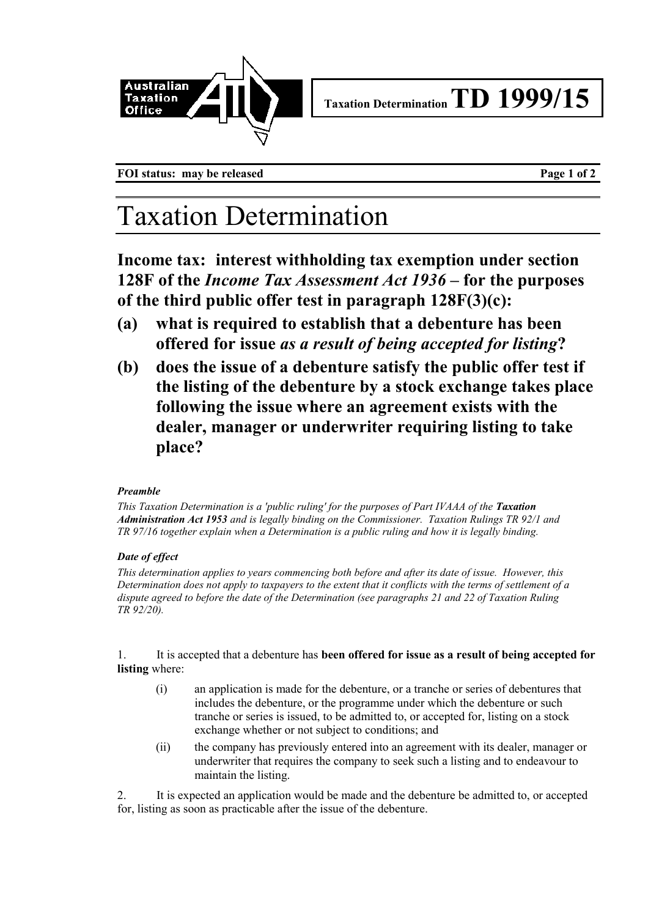

**Taxation DeterminationTD 1999/15**

FOI status: may be released **Page 1 of 2** 

## Taxation Determination

**Income tax: interest withholding tax exemption under section 128F of the** *Income Tax Assessment Act 1936* **– for the purposes of the third public offer test in paragraph 128F(3)(c):**

- **(a) what is required to establish that a debenture has been offered for issue** *as a result of being accepted for listing***?**
- **(b) does the issue of a debenture satisfy the public offer test if the listing of the debenture by a stock exchange takes place following the issue where an agreement exists with the dealer, manager or underwriter requiring listing to take place?**

## *Preamble*

*This Taxation Determination is a 'public ruling' for the purposes of Part IVAAA of the Taxation Administration Act 1953 and is legally binding on the Commissioner. Taxation Rulings TR 92/1 and TR 97/16 together explain when a Determination is a public ruling and how it is legally binding.*

## *Date of effect*

*This determination applies to years commencing both before and after its date of issue. However, this Determination does not apply to taxpayers to the extent that it conflicts with the terms of settlement of a dispute agreed to before the date of the Determination (see paragraphs 21 and 22 of Taxation Ruling TR 92/20).*

1. It is accepted that a debenture has **been offered for issue as a result of being accepted for listing** where:

- (i) an application is made for the debenture, or a tranche or series of debentures that includes the debenture, or the programme under which the debenture or such tranche or series is issued, to be admitted to, or accepted for, listing on a stock exchange whether or not subject to conditions; and
- (ii) the company has previously entered into an agreement with its dealer, manager or underwriter that requires the company to seek such a listing and to endeavour to maintain the listing.

2. It is expected an application would be made and the debenture be admitted to, or accepted for, listing as soon as practicable after the issue of the debenture.